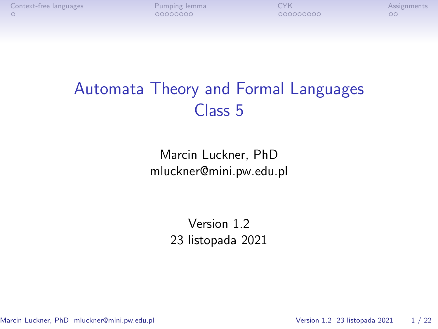# Automata Theory and Formal Languages Class 5

Marcin Luckner, PhD mluckner@mini.pw.edu.pl

> Version 1.2 23 listopada 2021

Marcin Luckner, PhD mluckner@mini.pw.edu.pl Version 1.2 23 listopada 2021 1/22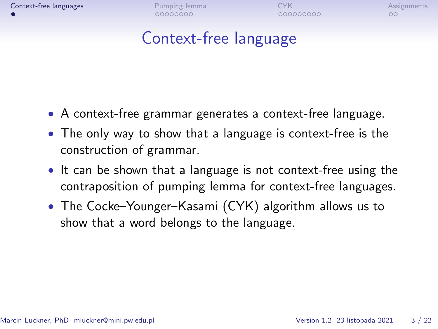## Context-free language

- <span id="page-1-0"></span>• A context-free grammar generates a context-free language.
- The only way to show that a language is context-free is the construction of grammar.
- It can be shown that a language is not context-free using the contraposition of pumping lemma for context-free languages.
- The Cocke–Younger–Kasami (CYK) algorithm allows us to show that a word belongs to the language.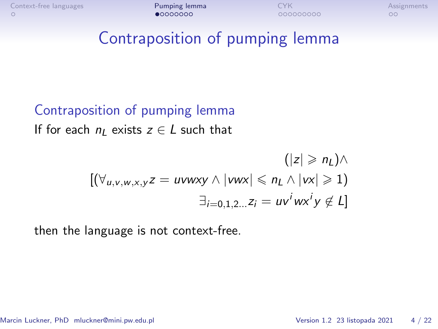#### <span id="page-2-0"></span>Contraposition of pumping lemma

## Contraposition of pumping lemma If for each  $n_1$  exists  $z \in L$  such that

$$
(|z| \ge n_L) \wedge
$$
  

$$
[(\forall_{u,v,w,x,y} z = uvwxy \land |vwx| \le n_L \land |vx| \ge 1)
$$
  

$$
\exists_{i=0,1,2...} z_i = uv^iwx^iy \notin L]
$$

then the language is not context-free.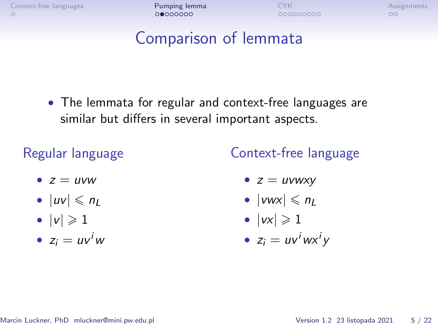#### Comparison of lemmata

• The lemmata for regular and context-free languages are similar but differs in several important aspects.

#### Regular language

Context-free language

- $z = uvw$
- $|uv| \le n_L$
- $|v| \geqslant 1$
- $z_i = uv^iw$
- $z = uvwxy$
- $|vwx| \le n_l$
- $|vx| \geqslant 1$
- $z_i = uv^iwx^iy$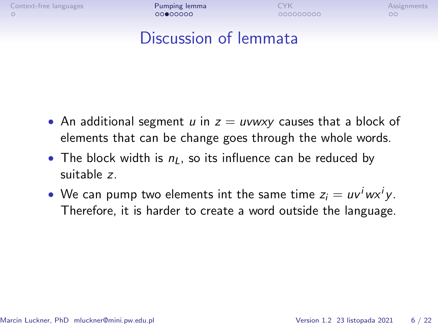## Discussion of lemmata

- An additional segment u in  $z = uvwxy$  causes that a block of elements that can be change goes through the whole words.
- The block width is  $n_l$ , so its influence can be reduced by suitable z.
- We can pump two elements int the same time  $z_i = uv^iwx^iy$ . Therefore, it is harder to create a word outside the language.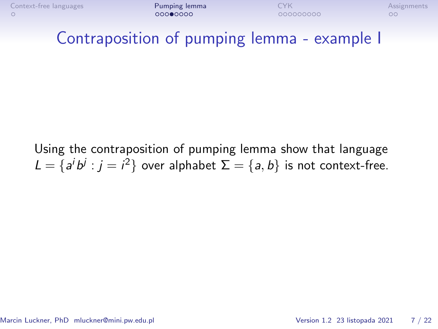

#### Contraposition of pumping lemma - example I

Using the contraposition of pumping lemma show that language  $L = \{a^i b^j : j = i^2\}$  over alphabet  $\Sigma = \{a, b\}$  is not context-free.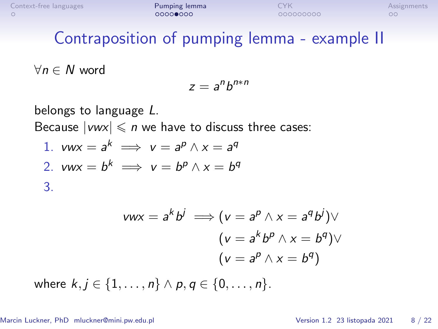## Contraposition of pumping lemma - example II

*∀*n *∈* N word

<span id="page-6-1"></span><span id="page-6-0"></span>
$$
z=a^nb^{n*n}
$$

belongs to language L. Because  $|vwx| \leq n$  we have to discuss three cases: 1.  $vwx = a^k \implies v = a^p \wedge x = a^q$ 2.  $vwx = b^k \implies v = b^p \wedge x = b^q$ 3.

$$
vwx = a^kb^j \implies (v = a^p \land x = a^q b^j) \lor
$$

$$
(v = a^kb^p \land x = b^q) \lor
$$

$$
(v = a^p \land x = b^q)
$$

<span id="page-6-2"></span>where  $k, j \in \{1, \ldots, n\} \wedge p, q \in \{0, \ldots, n\}.$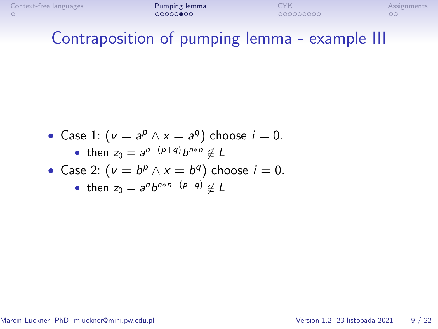# Contraposition of pumping lemma - example III

\n- Case 1: 
$$
(v = a^p \wedge x = a^q)
$$
 choose  $i = 0$ .
\n- then  $z_0 = a^{n-(p+q)}b^{n+n} \notin L$
\n- Case 2:  $(v = b^p \wedge x = b^q)$  choose  $i = 0$ .
\n

• then 
$$
z_0 = a^n b^{n*n-(p+q)} \notin L
$$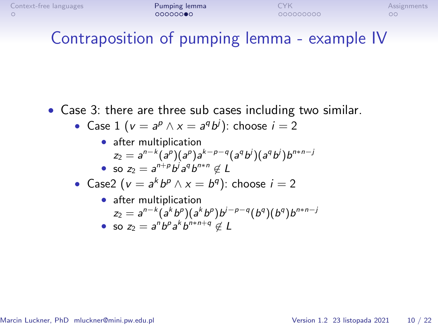## Contraposition of pumping lemma - example IV

• Case [3:](#page-6-2) there are three sub cases including two similar.

• Case 1 
$$
(v = a^p \land x = a^q b^j)
$$
: choose  $i = 2$ 

\n- after multiplication\n 
$$
z_2 = a^{n-k} (a^p) (a^p) a^{k-p-q} (a^q b^j) (a^q b^j) b^{n+n-j}
$$
\n
\n- so\n 
$$
z_2 = a^{n+p} b^j a^q b^{n+n} \notin L
$$
\n
\n

• Case2 (
$$
v = a^k b^p \wedge x = b^q
$$
): choose  $i = 2$ 

• after multiplication

$$
z_2 = a^{n-k} (a^k b^p) (a^k b^p) b^{j-p-q} (b^q) (b^q) b^{n+n-j}
$$
  
• so  $z_2 = a^n b^p a^k b^{n+n+q} \notin L$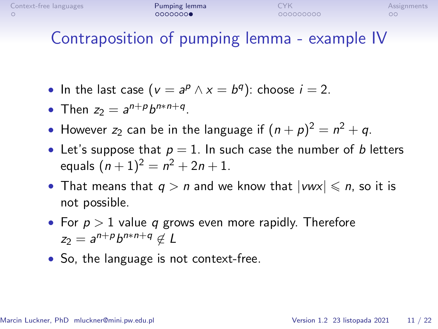# Contraposition of pumping lemma - example IV

- In the last case  $(v = a^p \wedge x = b^q)$ : choose  $i = 2$ .
- Then  $z_2 = a^{n+p}b^{n+n+q}$ .
- However  $z_2$  can be in the language if  $(n+p)^2 = n^2 + q$ .
- Let's suppose that  $p = 1$ . In such case the number of b letters equals  $(n + 1)^2 = n^2 + 2n + 1$ .
- That means that  $q > n$  and we know that  $|vwx| \leqslant n$ , so it is not possible.
- For  $p > 1$  value q grows even more rapidly. Therefore  $z_2 = a^{n+p}b^{n*n+q} \notin L$
- So, the language is not context-free.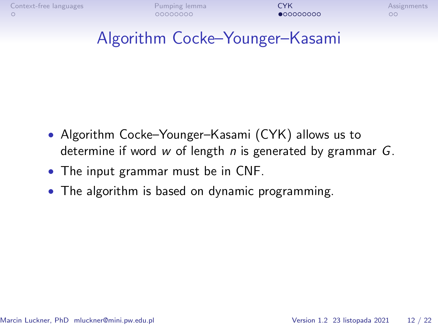# <span id="page-10-0"></span>Algorithm Cocke–Younger–Kasami

- Algorithm Cocke–Younger–Kasami (CYK) allows us to determine if word w of length n is generated by grammar  $G$ .
- The input grammar must be in CNF.
- The algorithm is based on dynamic programming.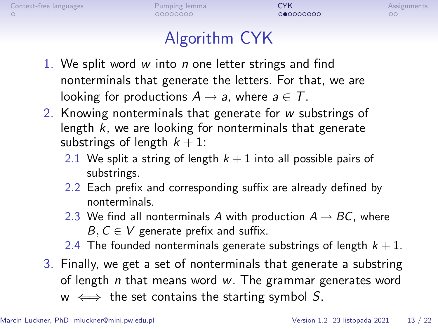# Algorithm CYK

- 1. We split word  $w$  into  $n$  one letter strings and find nonterminals that generate the letters. For that, we are looking for productions  $A \rightarrow a$ , where  $a \in T$ .
- 2. Knowing nonterminals that generate for w substrings of length  $k$ , we are looking for nonterminals that generate substrings of length  $k + 1$ :
	- 2.1 We split a string of length  $k + 1$  into all possible pairs of substrings.
	- 2.2 Each prefix and corresponding suffix are already defined by nonterminals.
	- 2.3 We find all nonterminals A with production  $A \rightarrow BC$ , where B*,* C *∈* V generate prefix and suffix.
	- 2.4 The founded nonterminals generate substrings of length  $k + 1$ .
- 3. Finally, we get a set of nonterminals that generate a substring of length  $n$  that means word  $w$ . The grammar generates word w *⇐⇒* the set contains the starting symbol S.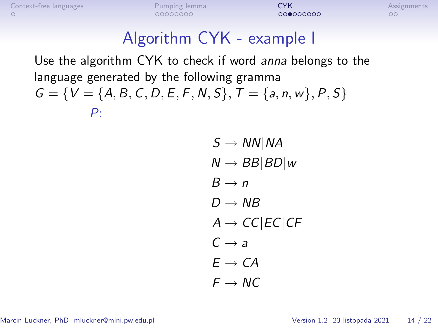# Algorithm CYK - example I

Use the algorithm CYK to check if word anna belongs to the language generated by the following gramma  $G = \{V = \{A, B, C, D, E, F, N, S\}, T = \{a, n, w\}, P, S\}$ P:

> $S \rightarrow NN|NA$ N *→* BB*|*BD*|*w  $B \rightarrow n$  $D \rightarrow NB$  $A \rightarrow CC|EC|CF$  $C \rightarrow a$  $E \rightarrow CA$  $F \rightarrow MC$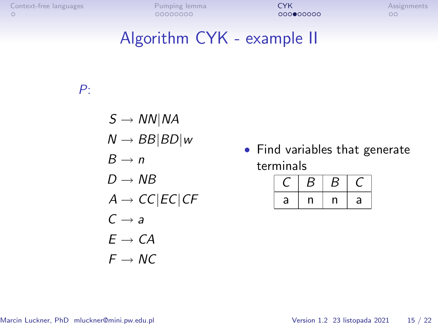## Algorithm CYK - example II

#### P:

- $S \rightarrow NN|NA$
- $N \rightarrow BB|BD|w$
- $B \rightarrow n$
- $D \rightarrow NB$
- $A \rightarrow CC|EC|CF$
- $C \rightarrow a$
- $E \rightarrow CA$
- $F \rightarrow NC$

• Find variables that generate terminals

|   | ت | ⊃ |   |
|---|---|---|---|
| a |   |   | a |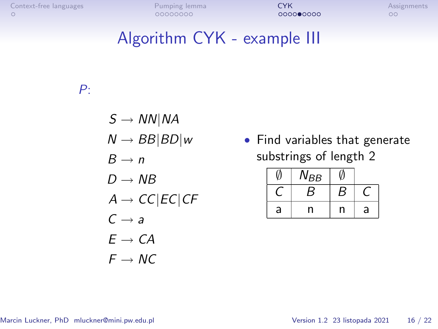## Algorithm CYK - example III

#### P:

- $S \rightarrow NN|NA$
- $N \rightarrow BB|BD|w$
- $B \to n$
- $D \rightarrow NB$
- $A \rightarrow CC|EC|CF$
- $C \rightarrow a$
- $E \rightarrow CA$
- $F \rightarrow NC$

• Find variables that generate substrings of length 2

|   | 'YBB |   |   |
|---|------|---|---|
|   | В    | В |   |
| a | n    | n | a |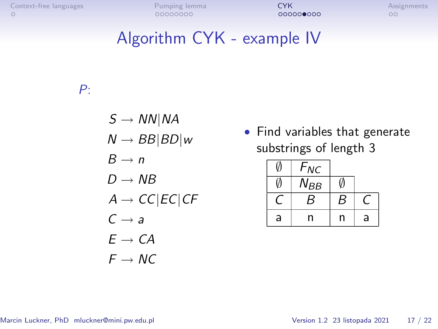## Algorithm CYK - example IV

#### P:

- $S \rightarrow NN|NA$
- $N \rightarrow BB|BD|w$
- $B \rightarrow n$
- $D \rightarrow NB$
- $A \rightarrow CC|EC|CF$
- $C \rightarrow a$
- $E \rightarrow CA$
- $F \rightarrow NC$

• Find variables that generate substrings of length 3

|   | $F_{NC}$ |   |   |
|---|----------|---|---|
|   | $N_{BB}$ |   |   |
|   | B        | B |   |
| a | n        | n | a |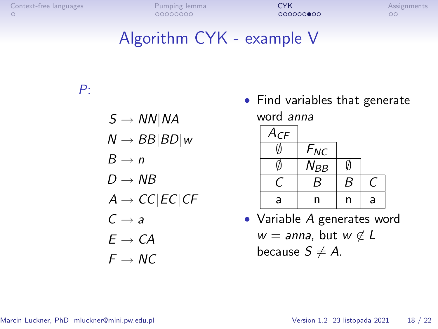# Algorithm CYK - example V

#### P:

- S *→* NN*|*NA
- $N \rightarrow BB|BD|w$
- $B \to n$
- $D \rightarrow NB$
- $A \rightarrow CC$ *|EC|CF*
- $C \rightarrow a$
- $E \rightarrow CA$
- $F \rightarrow MC$

• Find variables that generate word anna



• Variable A generates word w = anna, but w *6∈* L because  $S \neq A$ .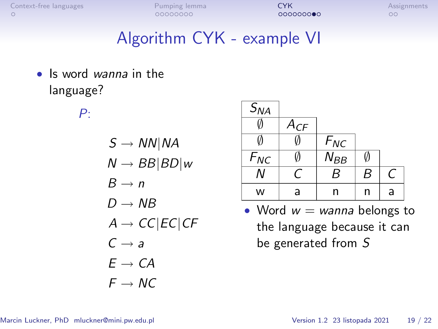## Algorithm CYK - example VI

• Is word *wanna* in the language?

P:

- $S \rightarrow NN|NA$
- N *→* BB*|*BD*|*w
- $B \rightarrow n$
- $D \rightarrow NB$
- $A \rightarrow CC$ *|EC|CF*
- $C \rightarrow a$
- $F \rightarrow CA$
- $F \rightarrow MC$

| $S_{NA}$ |          |          |   |                |
|----------|----------|----------|---|----------------|
|          | $A_{CF}$ |          |   |                |
|          |          | $F_{NC}$ |   |                |
| $F_{NC}$ |          | $N_{BB}$ | M |                |
|          | г.       | B        | B | $\overline{C}$ |
| w        | a        | n        | n | a              |

• Word  $w =$  wanna belongs to the language because it can be generated from S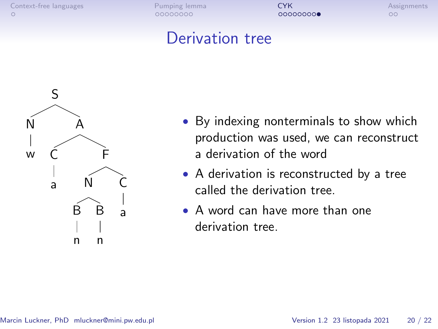#### Derivation tree



- By indexing nonterminals to show which production was used, we can reconstruct a derivation of the word
- A derivation is reconstructed by a tree called the derivation tree.
- A word can have more than one derivation tree.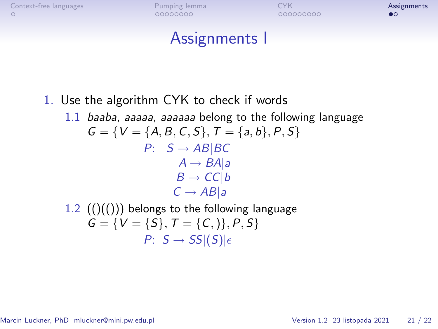#### Assignments I

#### <span id="page-19-0"></span>1. Use the algorithm CYK to check if words

1.1 baaba, aaaaa, aaaaaa belong to the following language  $G = \{V = \{A, B, C, S\}, T = \{a, b\}, P, S\}$ P: S *→* AB*|*BC  $A \rightarrow BA|a$  $B \rightarrow CC/b$  $C \rightarrow AB|a$ 1.2  $(()(())$  belongs to the following language

 $G = \{V = \{S\}, T = \{C, \} \}, P, S\}$  $P: S \rightarrow SS|(S)|_{\epsilon}$